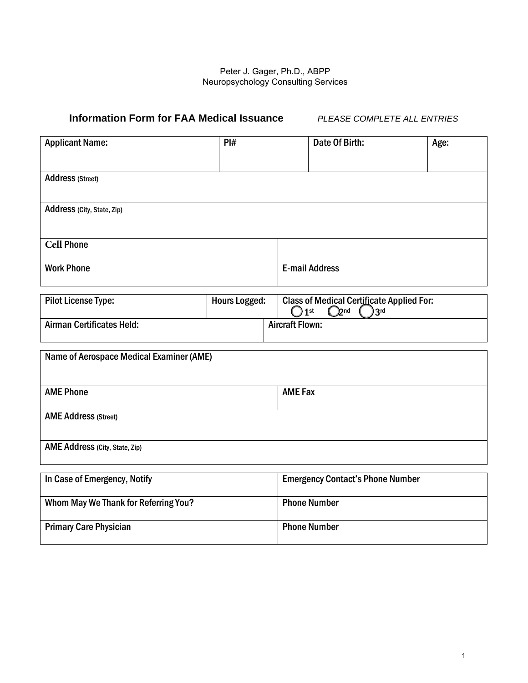## Peter J. Gager, Ph.D., ABPP Neuropsychology Consulting Services Tel 859-382-1415

# **Information Form for FAA Medical Issuance** *PLEASE COMPLETE ALL ENTRIES*

| <b>Applicant Name:</b>                   | PI#                  |                | Date Of Birth:                                                                                             | Age: |  |
|------------------------------------------|----------------------|----------------|------------------------------------------------------------------------------------------------------------|------|--|
|                                          |                      |                |                                                                                                            |      |  |
| <b>Address (Street)</b>                  |                      |                |                                                                                                            |      |  |
|                                          |                      |                |                                                                                                            |      |  |
| Address (City, State, Zip)               |                      |                |                                                                                                            |      |  |
|                                          |                      |                |                                                                                                            |      |  |
| <b>Cell Phone</b>                        |                      |                |                                                                                                            |      |  |
| <b>Work Phone</b>                        |                      |                | <b>E-mail Address</b>                                                                                      |      |  |
|                                          |                      |                |                                                                                                            |      |  |
| <b>Pilot License Type:</b>               | <b>Hours Logged:</b> |                | <b>Class of Medical Certificate Applied For:</b><br>O2 <sub>nd</sub><br>1 <sub>st</sub><br>3 <sup>rd</sup> |      |  |
| Airman Certificates/Ratings Held:        |                      |                | <b>Aircraft Flown:</b>                                                                                     |      |  |
|                                          |                      |                |                                                                                                            |      |  |
| Name of Aerospace Medical Examiner (AME) |                      |                |                                                                                                            |      |  |
|                                          |                      |                |                                                                                                            |      |  |
| <b>AME Phone</b>                         |                      | <b>AME Fax</b> |                                                                                                            |      |  |
| <b>AME Address (Street)</b>              |                      |                |                                                                                                            |      |  |
|                                          |                      |                |                                                                                                            |      |  |
| AME Address (City, State, Zip)           |                      |                |                                                                                                            |      |  |
|                                          |                      |                |                                                                                                            |      |  |
| In Case of Emergency, Notify             |                      |                | <b>Emergency Contact's Phone Number</b>                                                                    |      |  |
| Whom May We Thank for Referring You?     |                      |                | <b>Phone Number</b>                                                                                        |      |  |
| <b>Primary Care Physician</b>            |                      |                | <b>Phone Number</b>                                                                                        |      |  |
|                                          |                      |                |                                                                                                            |      |  |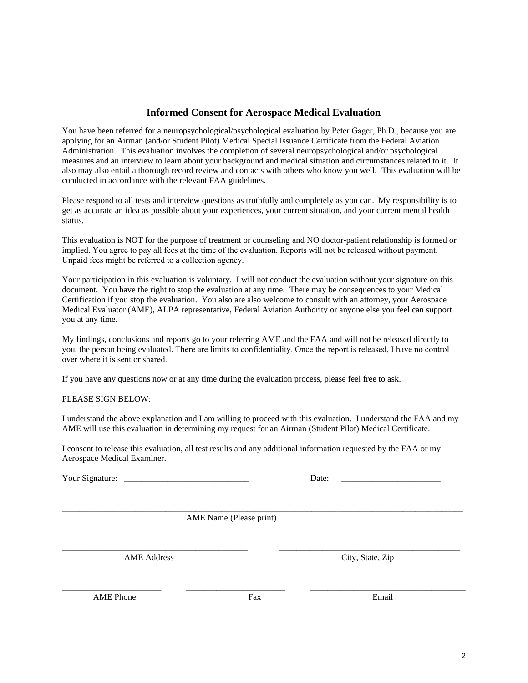# **Informed Consent for Aerospace Medical Evaluation**

You have been referred for a neuropsychological/psychological evaluation by Peter Gager, Ph.D., because you are applying for an Airman (and/or Student Pilot) Medical Special Issuance Certificate from the Federal Aviation Administration. This evaluation involves the completion of several neuropsychological and/or psychological measures and an interview to learn about your background and medical situation and circumstances related to it. It also may also entail a thorough record review and contacts with others who know you well. This evaluation will be conducted in accordance with the relevant FAA guidelines.

Please respond to all tests and interview questions as truthfully and completely as you can. My responsibility is to get as accurate an idea as possible about your experiences, your current situation, and your current mental health status.

This evaluation is NOT for the purpose of treatment or counseling and no doctor-patient relationship is formed or implied. The FAA alone makes the final determination regarding your eligibility for special issuance. You agree to pay all fees at the time of the evaluation. Reports will not be released without payment. Unpaid fees might be referred to a collection agency.

Your participation in this evaluation is voluntary. I will not conduct the evaluation without your signature on this document. You have the right to stop the evaluation at any time. There may be consequences to your Medical Certification if you stop the evaluation. You also are also welcome to consult with an attorney, your Aerospace Medical Evaluator (AME), ALPA representative, Federal Aviation Authority or anyone else you feel can support you at any time.

There are limits to confidentiality. Once the report and supporting documents are released, I have no control over where it is sent or shared. If you have any questions now or at any time during the evaluation process, please feel free to ask.

#### PLEASE SIGN BELOW:

I understand the above explanation and I am willing to proceed with this evaluation. I understand the FAA and my AME will use this evaluation in determining my request for an Airman (Student Pilot) Medical Certificate.

I voluntarily consent to authorize the examiner, Peter Gager, Ph.D., to use and disclose my health information (including this evaluation, all test results, additional information and documents provided by me and any additional information requested) to the FAA Aerospace Medical Certification Division and my AME (Aerospace Medical Examiner).

\_\_\_\_\_\_\_\_\_\_\_\_\_\_\_\_\_\_\_\_\_\_\_\_\_\_\_\_\_\_\_\_\_\_\_\_\_\_\_\_\_\_\_\_\_\_\_\_\_\_\_\_\_\_\_\_\_\_\_\_\_\_\_\_\_\_\_\_\_\_\_\_\_\_\_\_\_\_\_\_\_\_\_\_\_\_\_\_\_\_\_\_\_

Your Signature: \_

| Date: |  |
|-------|--|
|-------|--|

AME Name (Please print)

\_\_\_\_\_\_\_\_\_\_\_\_\_\_\_\_\_\_\_\_\_\_\_\_\_\_\_\_\_\_\_\_\_\_\_\_\_\_\_\_\_\_\_ \_\_\_\_\_\_\_\_\_\_\_\_\_\_\_\_\_\_\_\_\_\_\_\_\_\_\_\_\_\_\_\_\_\_\_\_\_\_\_\_\_\_

AME Address City, State, Zip

AME Phone **Fax** Fax Email

\_\_\_\_\_\_\_\_\_\_\_\_\_\_\_\_\_\_\_\_\_\_\_ \_\_\_\_\_\_\_\_\_\_\_\_\_\_\_\_\_\_\_\_\_\_\_ \_\_\_\_\_\_\_\_\_\_\_\_\_\_\_\_\_\_\_\_\_\_\_\_\_\_\_\_\_\_\_\_\_\_\_\_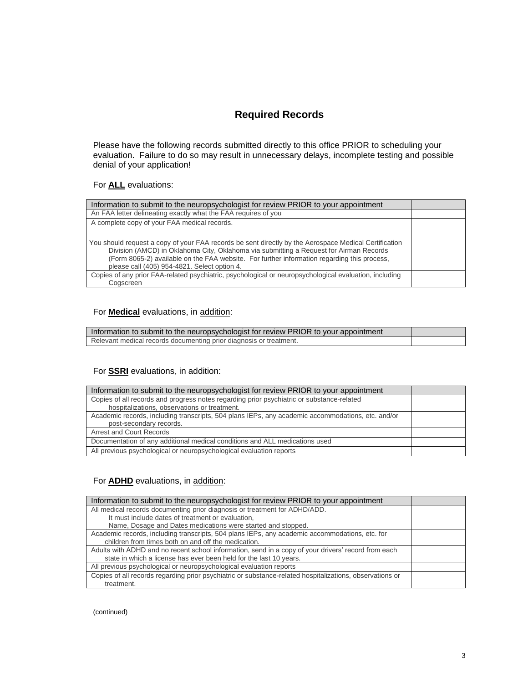# **Required Records**

Please have the following records submitted directly to this office PRIOR to scheduling your evaluation. Failure to do so may result in unnecessary delays, incomplete testing and possible denial of your application!

# For **ALL** evaluations:

| Information to submit to the neuropsychologist for review PRIOR to your appointment                                                                                                                                                                                                                                                            |  |
|------------------------------------------------------------------------------------------------------------------------------------------------------------------------------------------------------------------------------------------------------------------------------------------------------------------------------------------------|--|
| An FAA letter delineating exactly what the FAA requires of you                                                                                                                                                                                                                                                                                 |  |
| A complete copy of your FAA medical records.                                                                                                                                                                                                                                                                                                   |  |
|                                                                                                                                                                                                                                                                                                                                                |  |
| You should request a copy of your FAA records be sent directly by the Aerospace Medical Certification<br>Division (AMCD) in Oklahoma City, Oklahoma via submitting a Request for Airman Records<br>(Form 8065-2) available on the FAA website. For further information regarding this process,<br>please call (405) 954-4821. Select option 4. |  |
| Copies of any prior FAA-related psychiatric, psychological or neuropsychological evaluation, including                                                                                                                                                                                                                                         |  |
| Coascreen                                                                                                                                                                                                                                                                                                                                      |  |

#### For **Medical** evaluations, in addition:

| Information to submit to the neuropsychologist for review PRIOR to your appointment |  |
|-------------------------------------------------------------------------------------|--|
| Relevant medical records documenting prior diagnosis or treatment.                  |  |

## For **SSRI** evaluations, in addition:

| Information to submit to the neuropsychologist for review PRIOR to your appointment                                                       |  |
|-------------------------------------------------------------------------------------------------------------------------------------------|--|
| Copies of all records and progress notes regarding prior psychiatric or substance-related<br>hospitalizations, observations or treatment. |  |
| Academic records, including transcripts, 504 plans IEPs, any academic accommodations, etc. and/or<br>post-secondary records.              |  |
| <b>Arrest and Court Records</b>                                                                                                           |  |
| Documentation of any additional medical conditions and ALL medications used                                                               |  |
| All previous psychological or neuropsychological evaluation reports                                                                       |  |

## For **ADHD** evaluations, in addition:

| Information to submit to the neuropsychologist for review PRIOR to your appointment                      |  |
|----------------------------------------------------------------------------------------------------------|--|
| All medical records documenting prior diagnosis or treatment for ADHD/ADD.                               |  |
| It must include dates of treatment or evaluation,                                                        |  |
| Name, Dosage and Dates medications were started and stopped.                                             |  |
| Academic records, including transcripts, 504 plans IEPs, any academic accommodations, etc. for           |  |
| children from times both on and off the medication.                                                      |  |
| Adults with ADHD and no recent school information, send in a copy of your drivers' record from each      |  |
| state in which a license has ever been held for the last 10 years.                                       |  |
| All previous psychological or neuropsychological evaluation reports                                      |  |
| Copies of all records regarding prior psychiatric or substance-related hospitalizations, observations or |  |
| treatment.                                                                                               |  |